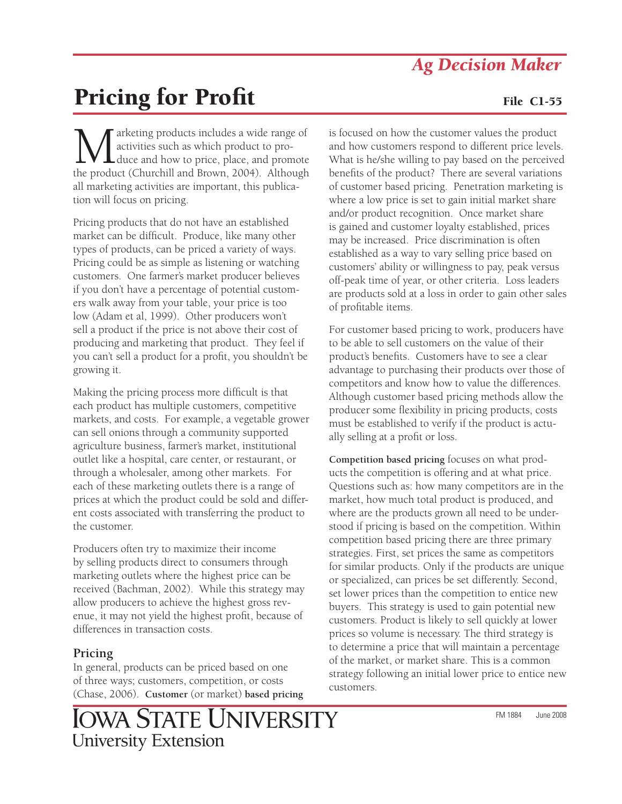## *Ag Decision Maker*

# **Pricing for Profit File C1-55**

**M**arketing products includes a wide range of<br>duce and how to price, place, and promote<br>the product (Churchill and Brown, 2004). Although activities such as which product to produce and how to price, place, and promote the product (Churchill and Brown, 2004). Although all marketing activities are important, this publication will focus on pricing.

Pricing products that do not have an established market can be difficult. Produce, like many other types of products, can be priced a variety of ways. Pricing could be as simple as listening or watching customers. One farmer's market producer believes if you don't have a percentage of potential customers walk away from your table, your price is too low (Adam et al, 1999). Other producers won't sell a product if the price is not above their cost of producing and marketing that product. They feel if you can't sell a product for a profit, you shouldn't be growing it.

Making the pricing process more difficult is that each product has multiple customers, competitive markets, and costs. For example, a vegetable grower can sell onions through a community supported agriculture business, farmer's market, institutional outlet like a hospital, care center, or restaurant, or through a wholesaler, among other markets. For each of these marketing outlets there is a range of prices at which the product could be sold and different costs associated with transferring the product to the customer.

Producers often try to maximize their income by selling products direct to consumers through marketing outlets where the highest price can be received (Bachman, 2002). While this strategy may allow producers to achieve the highest gross revenue, it may not yield the highest profit, because of differences in transaction costs.

### **Pricing**

In general, products can be priced based on one of three ways; customers, competition, or costs (Chase, 2006). **Customer** (or market) **based pricing** is focused on how the customer values the product and how customers respond to different price levels. What is he/she willing to pay based on the perceived benefits of the product? There are several variations of customer based pricing. Penetration marketing is where a low price is set to gain initial market share and/or product recognition. Once market share is gained and customer loyalty established, prices may be increased. Price discrimination is often established as a way to vary selling price based on customers' ability or willingness to pay, peak versus off-peak time of year, or other criteria. Loss leaders are products sold at a loss in order to gain other sales of profitable items.

For customer based pricing to work, producers have to be able to sell customers on the value of their product's benefits. Customers have to see a clear advantage to purchasing their products over those of competitors and know how to value the differences. Although customer based pricing methods allow the producer some flexibility in pricing products, costs must be established to verify if the product is actually selling at a profit or loss.

**Competition based pricing** focuses on what products the competition is offering and at what price. Questions such as: how many competitors are in the market, how much total product is produced, and where are the products grown all need to be understood if pricing is based on the competition. Within competition based pricing there are three primary strategies. First, set prices the same as competitors for similar products. Only if the products are unique or specialized, can prices be set differently. Second, set lower prices than the competition to entice new buyers. This strategy is used to gain potential new customers. Product is likely to sell quickly at lower prices so volume is necessary. The third strategy is to determine a price that will maintain a percentage of the market, or market share. This is a common strategy following an initial lower price to entice new customers.

IOWA STATE UNIVERSITY **University Extension**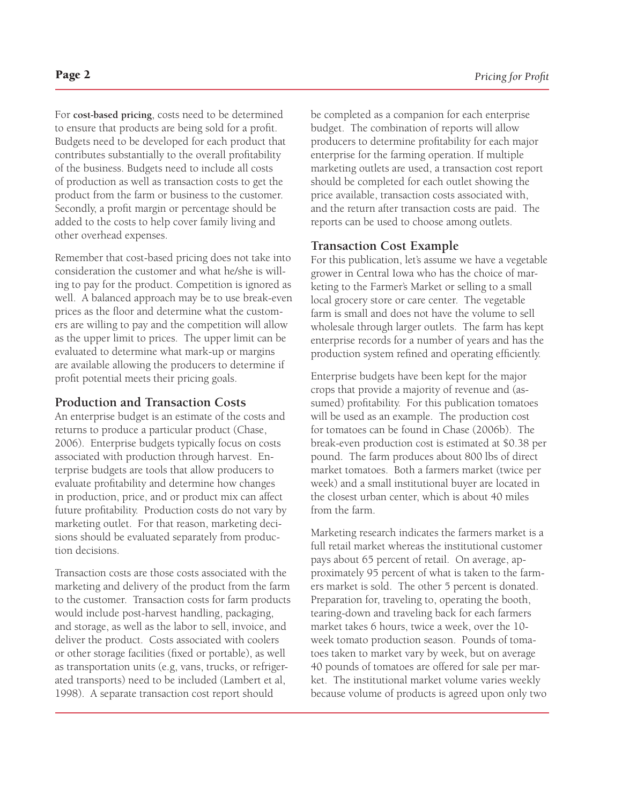For **cost-based pricing**, costs need to be determined to ensure that products are being sold for a profit. Budgets need to be developed for each product that contributes substantially to the overall profitability of the business. Budgets need to include all costs of production as well as transaction costs to get the product from the farm or business to the customer. Secondly, a profit margin or percentage should be added to the costs to help cover family living and other overhead expenses.

Remember that cost-based pricing does not take into consideration the customer and what he/she is willing to pay for the product. Competition is ignored as well. A balanced approach may be to use break-even prices as the floor and determine what the customers are willing to pay and the competition will allow as the upper limit to prices. The upper limit can be evaluated to determine what mark-up or margins are available allowing the producers to determine if profit potential meets their pricing goals.

#### **Production and Transaction Costs**

An enterprise budget is an estimate of the costs and returns to produce a particular product (Chase, 2006). Enterprise budgets typically focus on costs associated with production through harvest. Enterprise budgets are tools that allow producers to evaluate profitability and determine how changes in production, price, and or product mix can affect future profitability. Production costs do not vary by marketing outlet. For that reason, marketing decisions should be evaluated separately from production decisions.

Transaction costs are those costs associated with the marketing and delivery of the product from the farm to the customer. Transaction costs for farm products would include post-harvest handling, packaging, and storage, as well as the labor to sell, invoice, and deliver the product. Costs associated with coolers or other storage facilities (fixed or portable), as well as transportation units (e.g, vans, trucks, or refrigerated transports) need to be included (Lambert et al, 1998). A separate transaction cost report should

be completed as a companion for each enterprise budget. The combination of reports will allow producers to determine profitability for each major enterprise for the farming operation. If multiple marketing outlets are used, a transaction cost report should be completed for each outlet showing the price available, transaction costs associated with, and the return after transaction costs are paid. The reports can be used to choose among outlets.

#### **Transaction Cost Example**

For this publication, let's assume we have a vegetable grower in Central Iowa who has the choice of marketing to the Farmer's Market or selling to a small local grocery store or care center. The vegetable farm is small and does not have the volume to sell wholesale through larger outlets. The farm has kept enterprise records for a number of years and has the production system refined and operating efficiently.

Enterprise budgets have been kept for the major crops that provide a majority of revenue and (assumed) profitability. For this publication tomatoes will be used as an example. The production cost for tomatoes can be found in Chase (2006b). The break-even production cost is estimated at \$0.38 per pound. The farm produces about 800 lbs of direct market tomatoes. Both a farmers market (twice per week) and a small institutional buyer are located in the closest urban center, which is about 40 miles from the farm.

Marketing research indicates the farmers market is a full retail market whereas the institutional customer pays about 65 percent of retail. On average, approximately 95 percent of what is taken to the farmers market is sold. The other 5 percent is donated. Preparation for, traveling to, operating the booth, tearing-down and traveling back for each farmers market takes 6 hours, twice a week, over the 10 week tomato production season. Pounds of tomatoes taken to market vary by week, but on average 40 pounds of tomatoes are offered for sale per market. The institutional market volume varies weekly because volume of products is agreed upon only two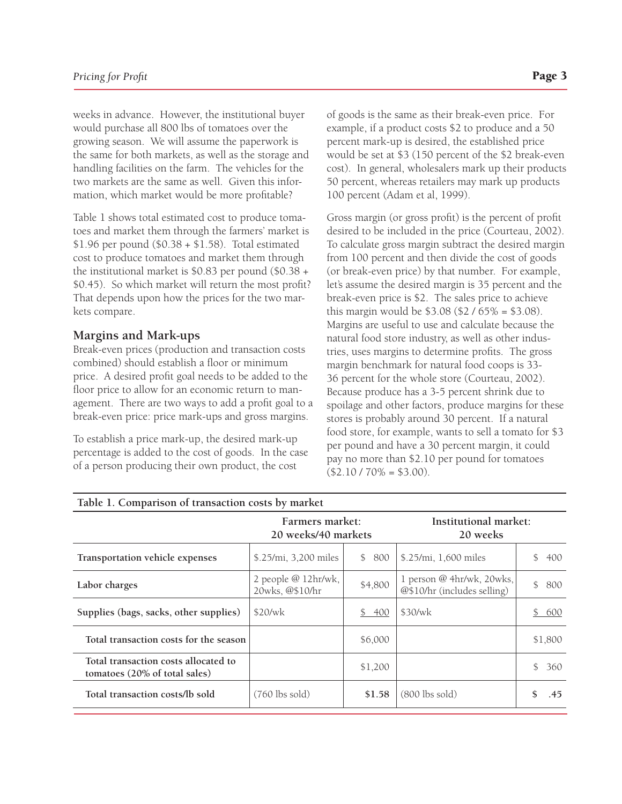weeks in advance. However, the institutional buyer would purchase all 800 lbs of tomatoes over the growing season. We will assume the paperwork is the same for both markets, as well as the storage and handling facilities on the farm. The vehicles for the two markets are the same as well. Given this information, which market would be more profitable?

Table 1 shows total estimated cost to produce tomatoes and market them through the farmers' market is \$1.96 per pound (\$0.38 + \$1.58). Total estimated cost to produce tomatoes and market them through the institutional market is \$0.83 per pound (\$0.38 + \$0.45). So which market will return the most profit? That depends upon how the prices for the two markets compare.

#### **Margins and Mark-ups**

Break-even prices (production and transaction costs combined) should establish a floor or minimum price. A desired profit goal needs to be added to the floor price to allow for an economic return to management. There are two ways to add a profit goal to a break-even price: price mark-ups and gross margins.

To establish a price mark-up, the desired mark-up percentage is added to the cost of goods. In the case of a person producing their own product, the cost

of goods is the same as their break-even price. For example, if a product costs \$2 to produce and a 50 percent mark-up is desired, the established price would be set at \$3 (150 percent of the \$2 break-even cost). In general, wholesalers mark up their products 50 percent, whereas retailers may mark up products 100 percent (Adam et al, 1999).

Gross margin (or gross profit) is the percent of profit desired to be included in the price (Courteau, 2002). To calculate gross margin subtract the desired margin from 100 percent and then divide the cost of goods (or break-even price) by that number. For example, let's assume the desired margin is 35 percent and the break-even price is \$2. The sales price to achieve this margin would be \$3.08 (\$2 / 65% = \$3.08). Margins are useful to use and calculate because the natural food store industry, as well as other industries, uses margins to determine profits. The gross margin benchmark for natural food coops is 33- 36 percent for the whole store (Courteau, 2002). Because produce has a 3-5 percent shrink due to spoilage and other factors, produce margins for these stores is probably around 30 percent. If a natural food store, for example, wants to sell a tomato for \$3 per pound and have a 30 percent margin, it could pay no more than \$2.10 per pound for tomatoes  $($2.10 / 70\% = $3.00).$ 

| Table 1. Comparison of transaction costs by market                    |                                        |                       |                                                          |                            |  |  |  |
|-----------------------------------------------------------------------|----------------------------------------|-----------------------|----------------------------------------------------------|----------------------------|--|--|--|
|                                                                       | Farmers market:<br>20 weeks/40 markets |                       | Institutional market:<br>20 weeks                        |                            |  |  |  |
| Transportation vehicle expenses                                       | \$.25/mi, 3,200 miles                  | \$800                 | \$.25/mi, 1,600 miles                                    | $\mathbb{S}^-$<br>400      |  |  |  |
| Labor charges                                                         | 2 people @ 12hr/wk,<br>20wks, @\$10/hr | \$4,800               | 1 person @ 4hr/wk, 20wks,<br>@\$10/hr (includes selling) | \$800                      |  |  |  |
| Supplies (bags, sacks, other supplies)                                | \$20/wk                                | 400<br>$\mathbb{S}^-$ | \$30/wk                                                  | $\mathbb{S}$<br><u>600</u> |  |  |  |
| Total transaction costs for the season                                |                                        | \$6,000               |                                                          | \$1,800                    |  |  |  |
| Total transaction costs allocated to<br>tomatoes (20% of total sales) |                                        | \$1,200               |                                                          | $\mathbb{S}^-$<br>360      |  |  |  |
| Total transaction costs/lb sold                                       | $(760$ lbs sold)                       | \$1.58                | $(800$ lbs sold)                                         | .45                        |  |  |  |

#### **Table 1. Comparison of transaction costs by market**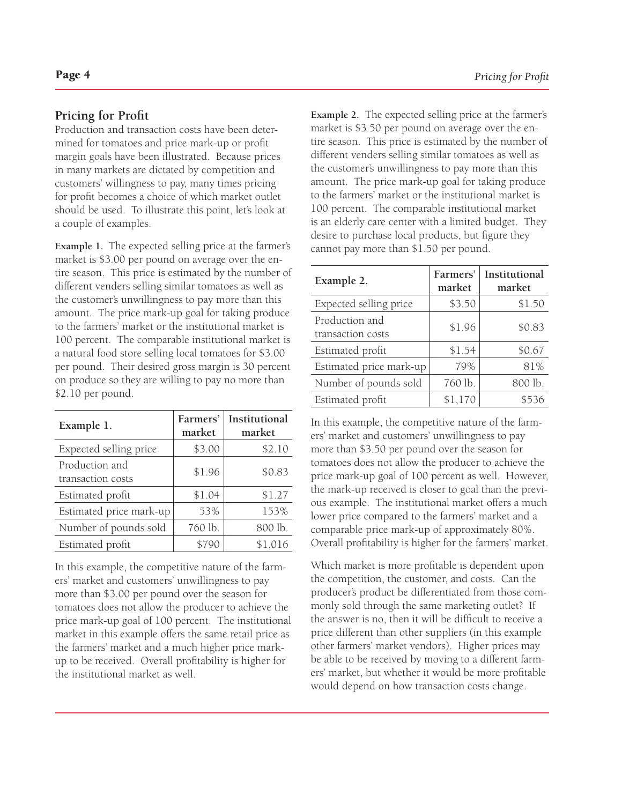#### **Pricing for Profit**

Production and transaction costs have been determined for tomatoes and price mark-up or profit margin goals have been illustrated. Because prices in many markets are dictated by competition and customers' willingness to pay, many times pricing for profit becomes a choice of which market outlet should be used. To illustrate this point, let's look at a couple of examples.

**Example 1.** The expected selling price at the farmer's market is \$3.00 per pound on average over the entire season. This price is estimated by the number of different venders selling similar tomatoes as well as the customer's unwillingness to pay more than this amount. The price mark-up goal for taking produce to the farmers' market or the institutional market is 100 percent. The comparable institutional market is a natural food store selling local tomatoes for \$3.00 per pound. Their desired gross margin is 30 percent on produce so they are willing to pay no more than \$2.10 per pound.

| Example 1.                          | Farmers'<br>market | Institutional<br>market |
|-------------------------------------|--------------------|-------------------------|
| Expected selling price              | \$3.00             | \$2.10                  |
| Production and<br>transaction costs | \$1.96             | \$0.83                  |
| Estimated profit                    | \$1.04             | \$1.27                  |
| Estimated price mark-up             | 53%                | 153%                    |
| Number of pounds sold               | 760 lb.            | 800 lb.                 |
| Estimated profit                    | \$790              | \$1,016                 |

In this example, the competitive nature of the farmers' market and customers' unwillingness to pay more than \$3.00 per pound over the season for tomatoes does not allow the producer to achieve the price mark-up goal of 100 percent. The institutional market in this example offers the same retail price as the farmers' market and a much higher price markup to be received. Overall profitability is higher for the institutional market as well.

**Example 2.** The expected selling price at the farmer's market is \$3.50 per pound on average over the entire season. This price is estimated by the number of different venders selling similar tomatoes as well as the customer's unwillingness to pay more than this amount. The price mark-up goal for taking produce to the farmers' market or the institutional market is 100 percent. The comparable institutional market is an elderly care center with a limited budget. They desire to purchase local products, but figure they cannot pay more than \$1.50 per pound.

| Example 2.                          | Farmers'<br>market | Institutional<br>market |
|-------------------------------------|--------------------|-------------------------|
| Expected selling price              | \$3.50             | \$1.50                  |
| Production and<br>transaction costs | \$1.96             | \$0.83                  |
| Estimated profit                    | \$1.54             | \$0.67                  |
| Estimated price mark-up             | 79%                | 81%                     |
| Number of pounds sold               | 760 lb.            | 800 lb.                 |
| Estimated profit                    | \$1,170            | \$536                   |

In this example, the competitive nature of the farmers' market and customers' unwillingness to pay more than \$3.50 per pound over the season for tomatoes does not allow the producer to achieve the price mark-up goal of 100 percent as well. However, the mark-up received is closer to goal than the previous example. The institutional market offers a much lower price compared to the farmers' market and a comparable price mark-up of approximately 80%. Overall profitability is higher for the farmers' market.

Which market is more profitable is dependent upon the competition, the customer, and costs. Can the producer's product be differentiated from those commonly sold through the same marketing outlet? If the answer is no, then it will be difficult to receive a price different than other suppliers (in this example other farmers' market vendors). Higher prices may be able to be received by moving to a different farmers' market, but whether it would be more profitable would depend on how transaction costs change.